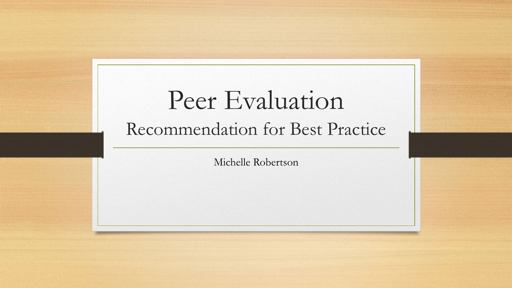# Peer Evaluation Recommendation for Best Practice

Michelle Robertson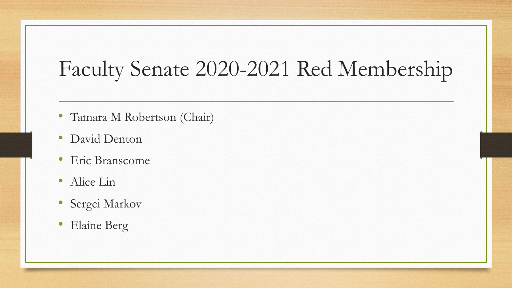## Faculty Senate 2020-2021 Red Membership

- Tamara M Robertson (Chair)
- David Denton
- Eric Branscome
- Alice Lin
- Sergei Markov
- Elaine Berg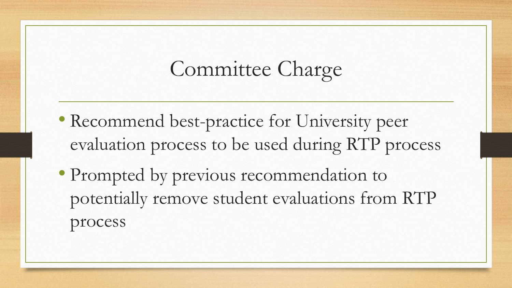## Committee Charge

- Recommend best-practice for University peer evaluation process to be used during RTP process
- Prompted by previous recommendation to potentially remove student evaluations from RTP process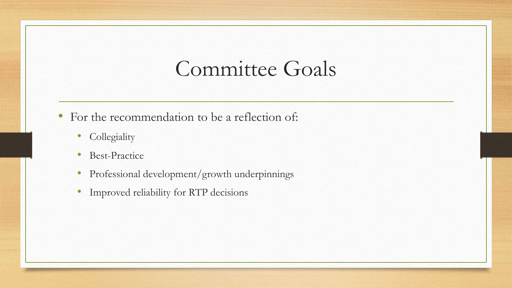#### Committee Goals

- For the recommendation to be a reflection of:
	- Collegiality
	- Best-Practice
	- Professional development/growth underpinnings
	- Improved reliability for RTP decisions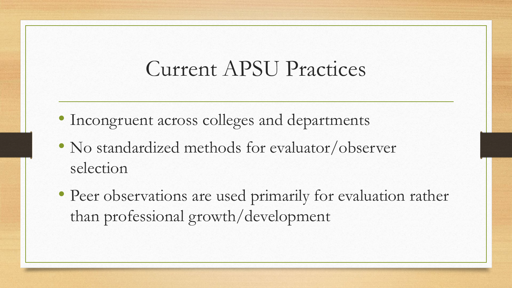#### Current APSU Practices

- Incongruent across colleges and departments
- No standardized methods for evaluator/observer selection
- Peer observations are used primarily for evaluation rather than professional growth/development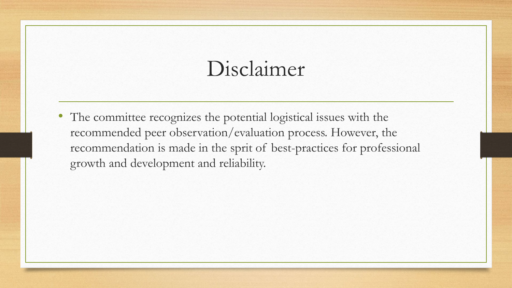#### Disclaimer

• The committee recognizes the potential logistical issues with the recommended peer observation/evaluation process. However, the recommendation is made in the sprit of best-practices for professional growth and development and reliability.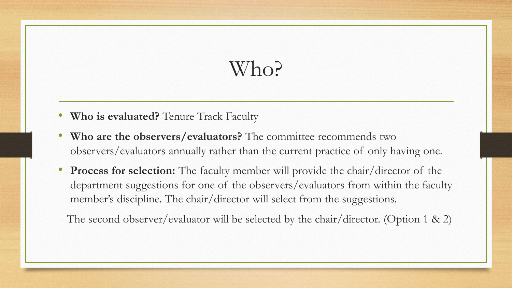## Who?

- **Who is evaluated?** Tenure Track Faculty
- **Who are the observers/evaluators?** The committee recommends two observers/evaluators annually rather than the current practice of only having one.
- **Process for selection:** The faculty member will provide the chair/director of the department suggestions for one of the observers/evaluators from within the faculty member's discipline. The chair/director will select from the suggestions.

The second observer/evaluator will be selected by the chair/director. (Option 1 & 2)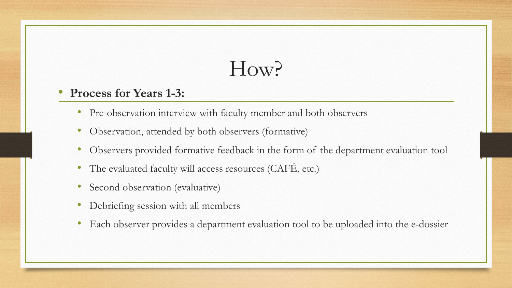## How?

#### • **Process for Years 1-3:**

- Pre-observation interview with faculty member and both observers
- Observation, attended by both observers (formative)
- Observers provided formative feedback in the form of the department evaluation tool
- The evaluated faculty will access resources (CAFÉ, etc.)
- Second observation (evaluative)
- Debriefing session with all members
- Each observer provides a department evaluation tool to be uploaded into the e-dossier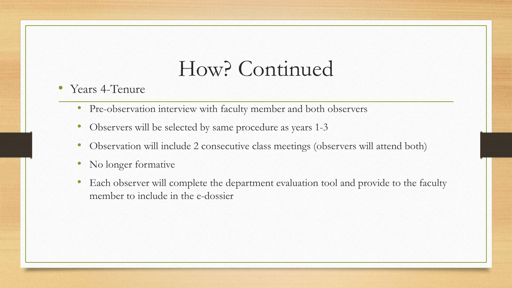#### How? Continued

- Years 4-Tenure
	- Pre-observation interview with faculty member and both observers
	- Observers will be selected by same procedure as years 1-3
	- Observation will include 2 consecutive class meetings (observers will attend both)
	- No longer formative
	- Each observer will complete the department evaluation tool and provide to the faculty member to include in the e-dossier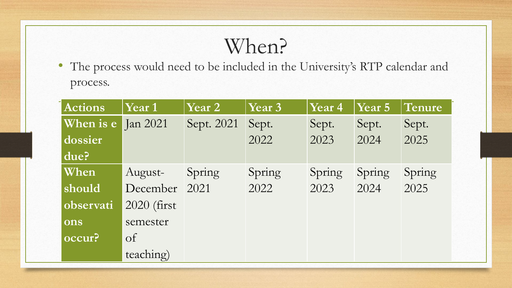### When?

• The process would need to be included in the University's RTP calendar and process.

| <b>Actions</b>     | Year 1       | Year 2     | Year 3 | Year 4 | Year 5 | Tenure |
|--------------------|--------------|------------|--------|--------|--------|--------|
| When is e Jan 2021 |              | Sept. 2021 | Sept.  | Sept.  | Sept.  | Sept.  |
| dossier            |              |            | 2022   | 2023   | 2024   | 2025   |
| due?               |              |            |        |        |        |        |
| When               | August-      | Spring     | Spring | Spring | Spring | Spring |
| should             | December     | 2021       | 2022   | 2023   | 2024   | 2025   |
| observati          | 2020 (first) |            |        |        |        |        |
| ons                | semester     |            |        |        |        |        |
| occur?             | $\sigma$     |            |        |        |        |        |
|                    | teaching)    |            |        |        |        |        |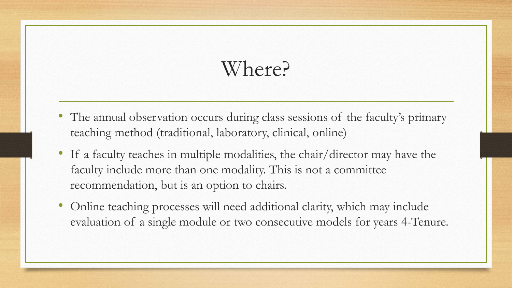## Where?

- The annual observation occurs during class sessions of the faculty's primary teaching method (traditional, laboratory, clinical, online)
- If a faculty teaches in multiple modalities, the chair/director may have the faculty include more than one modality. This is not a committee recommendation, but is an option to chairs.
- Online teaching processes will need additional clarity, which may include evaluation of a single module or two consecutive models for years 4-Tenure.